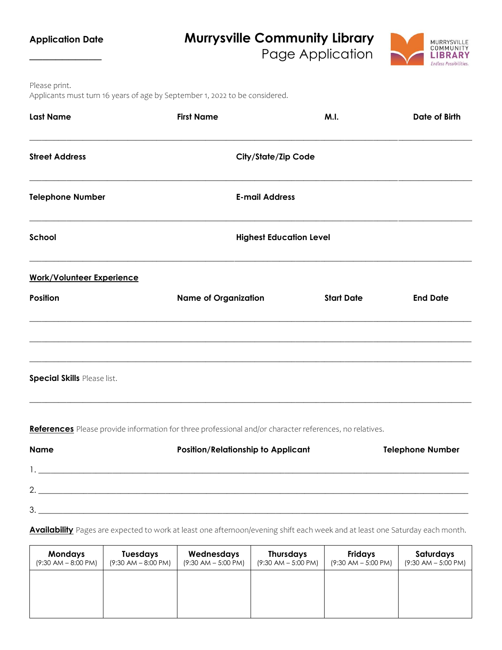| <b>Application Date</b>          | <b>Murrysville Community Library</b><br>MURRYSVILLE<br>COMMUNITY<br>Page Application<br>LIBRARY<br><b>Endless Possibilities.</b> |                                |                         |  |
|----------------------------------|----------------------------------------------------------------------------------------------------------------------------------|--------------------------------|-------------------------|--|
| Please print.                    | Applicants must turn 16 years of age by September 1, 2022 to be considered.                                                      |                                |                         |  |
| <b>Last Name</b>                 | <b>First Name</b>                                                                                                                | M.I.                           | Date of Birth           |  |
| <b>Street Address</b>            | <b>City/State/Zip Code</b>                                                                                                       |                                |                         |  |
| <b>Telephone Number</b>          | <b>E-mail Address</b>                                                                                                            |                                |                         |  |
| School                           |                                                                                                                                  | <b>Highest Education Level</b> |                         |  |
| <b>Work/Volunteer Experience</b> |                                                                                                                                  |                                |                         |  |
| <b>Position</b>                  | <b>Name of Organization</b>                                                                                                      | <b>Start Date</b>              | <b>End Date</b>         |  |
| Special Skills Please list.      |                                                                                                                                  |                                |                         |  |
|                                  | References Please provide information for three professional and/or character references, no relatives.                          |                                |                         |  |
| <b>Name</b>                      | <b>Position/Relationship to Applicant</b>                                                                                        |                                | <b>Telephone Number</b> |  |

3. \_\_\_\_\_\_\_\_\_\_\_\_\_\_\_\_\_\_\_\_\_\_\_\_\_\_\_\_\_\_\_\_\_\_\_\_\_\_\_\_\_\_\_\_\_\_\_\_\_\_\_\_\_\_\_\_\_\_\_\_\_\_\_\_\_\_\_\_\_\_\_\_\_\_\_\_\_\_\_\_\_\_\_\_\_\_\_\_\_\_\_\_\_\_\_\_\_\_\_\_\_\_\_\_\_ **Availability** Pages are expected to work at least one afternoon/evening shift each week and at least one Saturday each month.

1. \_\_\_\_\_\_\_\_\_\_\_\_\_\_\_\_\_\_\_\_\_\_\_\_\_\_\_\_\_\_\_\_\_\_\_\_\_\_\_\_\_\_\_\_\_\_\_\_\_\_\_\_\_\_\_\_\_\_\_\_\_\_\_\_\_\_\_\_\_\_\_\_\_\_\_\_\_\_\_\_\_\_\_\_\_\_\_\_\_\_\_\_\_\_\_\_\_\_\_\_\_\_\_\_\_

2. \_\_\_\_\_\_\_\_\_\_\_\_\_\_\_\_\_\_\_\_\_\_\_\_\_\_\_\_\_\_\_\_\_\_\_\_\_\_\_\_\_\_\_\_\_\_\_\_\_\_\_\_\_\_\_\_\_\_\_\_\_\_\_\_\_\_\_\_\_\_\_\_\_\_\_\_\_\_\_\_\_\_\_\_\_\_\_\_\_\_\_\_\_\_\_\_\_\_\_\_\_\_\_\_\_

| <b>Mondays</b><br>$(9:30$ AM $- 8:00$ PM) | <b>Tuesdays</b><br>$(9:30$ AM $-8:00$ PM) | Wednesdays<br>$(9:30$ AM $-5:00$ PM) | <b>Thursdays</b><br>$(9:30$ AM $-5:00$ PM) | <b>Fridays</b><br>$(9:30$ AM $-5:00$ PM) | Saturdays<br>$(9:30$ AM $-5:00$ PM) |
|-------------------------------------------|-------------------------------------------|--------------------------------------|--------------------------------------------|------------------------------------------|-------------------------------------|
|                                           |                                           |                                      |                                            |                                          |                                     |
|                                           |                                           |                                      |                                            |                                          |                                     |